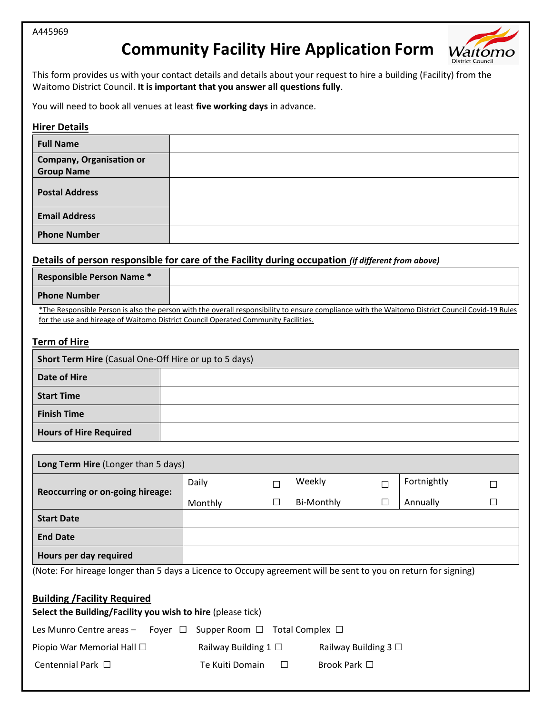# **Community Facility Hire Application Form**



This form provides us with your contact details and details about your request to hire a building (Facility) from the Waitomo District Council. **It is important that you answer all questions fully**.

You will need to book all venues at least **five working days** in advance.

#### **Hirer Details**

| <b>Full Name</b>                                     |  |
|------------------------------------------------------|--|
| <b>Company, Organisation or</b><br><b>Group Name</b> |  |
| <b>Postal Address</b>                                |  |
| <b>Email Address</b>                                 |  |
| <b>Phone Number</b>                                  |  |

# **Details of person responsible for care of the Facility during occupation** *(if different from above)*

| <b>Responsible Person Name *</b> |                                                                                                                                                  |
|----------------------------------|--------------------------------------------------------------------------------------------------------------------------------------------------|
| <b>Phone Number</b>              |                                                                                                                                                  |
|                                  | *The Responsible Person is also the person with the overall responsibility to ensure compliance with the Waitomo District Council Covid-19 Rules |
|                                  | for the use and hireage of Waitomo District Council Operated Community Facilities.                                                               |

## **Term of Hire**

| <b>Short Term Hire</b> (Casual One-Off Hire or up to 5 days) |  |  |  |
|--------------------------------------------------------------|--|--|--|
| Date of Hire                                                 |  |  |  |
| <b>Start Time</b>                                            |  |  |  |
| <b>Finish Time</b>                                           |  |  |  |
| <b>Hours of Hire Required</b>                                |  |  |  |

| <b>Long Term Hire (Longer than 5 days)</b>                                                                     |                           |        |                           |  |             |  |
|----------------------------------------------------------------------------------------------------------------|---------------------------|--------|---------------------------|--|-------------|--|
|                                                                                                                | Daily                     | П      | Weekly                    |  | Fortnightly |  |
| Reoccurring or on-going hireage:                                                                               | Monthly                   | П      | <b>Bi-Monthly</b>         |  | Annually    |  |
| <b>Start Date</b>                                                                                              |                           |        |                           |  |             |  |
| <b>End Date</b>                                                                                                |                           |        |                           |  |             |  |
| Hours per day required                                                                                         |                           |        |                           |  |             |  |
| (Note: For hireage longer than 5 days a Licence to Occupy agreement will be sent to you on return for signing) |                           |        |                           |  |             |  |
| <b>Building /Facility Required</b><br>Select the Building/Facility you wish to hire (please tick)              |                           |        |                           |  |             |  |
| Supper Room $\Box$ Total Complex $\Box$<br>Les Munro Centre areas -<br>Foyer $\Box$                            |                           |        |                           |  |             |  |
| Piopio War Memorial Hall $\Box$                                                                                | Railway Building $1 \Box$ |        | Railway Building $3 \Box$ |  |             |  |
| Centennial Park $\Box$                                                                                         | Te Kuiti Domain           | $\Box$ | Brook Park $\Box$         |  |             |  |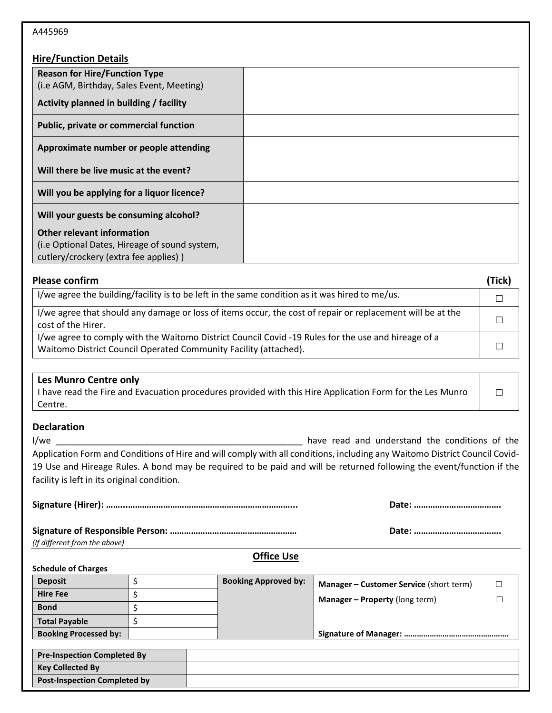# **Hire/Function Details**

| <b>Reason for Hire/Function Type</b>                                                                                        |  |
|-----------------------------------------------------------------------------------------------------------------------------|--|
| (i.e AGM, Birthday, Sales Event, Meeting)                                                                                   |  |
|                                                                                                                             |  |
| Activity planned in building / facility                                                                                     |  |
| Public, private or commercial function                                                                                      |  |
| Approximate number or people attending                                                                                      |  |
| Will there be live music at the event?                                                                                      |  |
| Will you be applying for a liquor licence?                                                                                  |  |
| Will your guests be consuming alcohol?                                                                                      |  |
|                                                                                                                             |  |
|                                                                                                                             |  |
|                                                                                                                             |  |
|                                                                                                                             |  |
| <b>Other relevant information</b><br>(i.e Optional Dates, Hireage of sound system,<br>cutlery/crockery (extra fee applies)) |  |

| <b>Please confirm</b>                                                                                                                                                   |  |  |
|-------------------------------------------------------------------------------------------------------------------------------------------------------------------------|--|--|
| I/we agree the building/facility is to be left in the same condition as it was hired to me/us.                                                                          |  |  |
| I/we agree that should any damage or loss of items occur, the cost of repair or replacement will be at the<br>cost of the Hirer.                                        |  |  |
| I/we agree to comply with the Waitomo District Council Covid -19 Rules for the use and hireage of a<br>Waitomo District Council Operated Community Facility (attached). |  |  |

# **Les Munro Centre only**

| I have read the Fire and Evacuation procedures provided with this Hire Application Form for the Les Munro |  |
|-----------------------------------------------------------------------------------------------------------|--|
| Centre.                                                                                                   |  |

## **Declaration**

I/we \_\_\_\_\_\_\_\_\_\_\_\_\_\_\_\_\_\_\_\_\_\_\_\_\_\_\_\_\_\_\_\_\_\_\_\_\_\_\_\_\_\_\_\_\_\_\_\_\_\_ have read and understand the conditions of the Application Form and Conditions of Hire and will comply with all conditions, including any Waitomo District Council Covid-19 Use and Hireage Rules. A bond may be required to be paid and will be returned following the event/function if the facility is left in its original condition.

**□**

*(If different from the above)*

|--|

#### **Schedule of Charges**

| <b>Deposit</b>               | <b>Booking Approved by:</b> | <b>Manager – Customer Service (short term)</b> |  |
|------------------------------|-----------------------------|------------------------------------------------|--|
| <b>Hire Fee</b>              |                             | <b>Manager – Property (long term)</b>          |  |
| <b>Bond</b>                  |                             |                                                |  |
| <b>Total Payable</b>         |                             |                                                |  |
| <b>Booking Processed by:</b> |                             |                                                |  |

| <b>Pre-Inspection Completed By</b>  |  |
|-------------------------------------|--|
| <b>Key Collected By</b>             |  |
| <b>Post-Inspection Completed by</b> |  |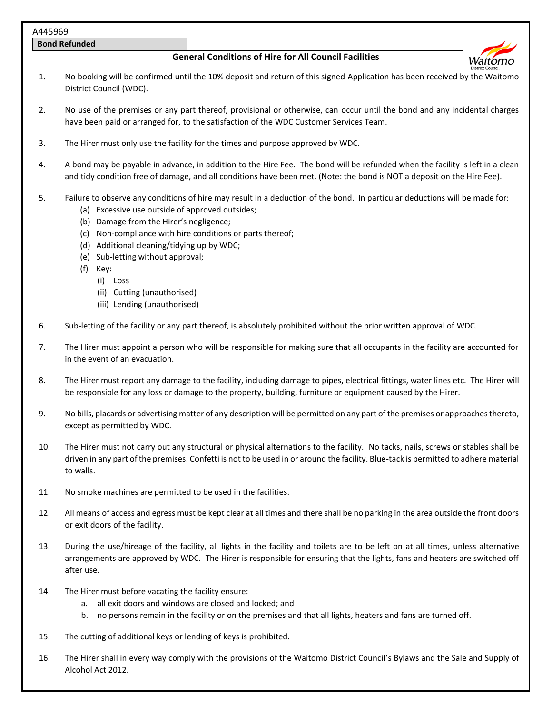**Bond Refunded**

# **General Conditions of Hire for All Council Facilities**



- 1. No booking will be confirmed until the 10% deposit and return of this signed Application has been received by the Waitomo District Council (WDC).
- 2. No use of the premises or any part thereof, provisional or otherwise, can occur until the bond and any incidental charges have been paid or arranged for, to the satisfaction of the WDC Customer Services Team.
- 3. The Hirer must only use the facility for the times and purpose approved by WDC.
- 4. A bond may be payable in advance, in addition to the Hire Fee. The bond will be refunded when the facility is left in a clean and tidy condition free of damage, and all conditions have been met. (Note: the bond is NOT a deposit on the Hire Fee).
- 5. Failure to observe any conditions of hire may result in a deduction of the bond. In particular deductions will be made for:
	- (a) Excessive use outside of approved outsides;
	- (b) Damage from the Hirer's negligence;
	- (c) Non-compliance with hire conditions or parts thereof;
	- (d) Additional cleaning/tidying up by WDC;
	- (e) Sub-letting without approval;
	- (f) Key:
		- (i) Loss
			- (ii) Cutting (unauthorised)
		- (iii) Lending (unauthorised)
- 6. Sub-letting of the facility or any part thereof, is absolutely prohibited without the prior written approval of WDC.
- 7. The Hirer must appoint a person who will be responsible for making sure that all occupants in the facility are accounted for in the event of an evacuation.
- 8. The Hirer must report any damage to the facility, including damage to pipes, electrical fittings, water lines etc. The Hirer will be responsible for any loss or damage to the property, building, furniture or equipment caused by the Hirer.
- 9. No bills, placards or advertising matter of any description will be permitted on any part of the premises or approaches thereto, except as permitted by WDC.
- 10. The Hirer must not carry out any structural or physical alternations to the facility. No tacks, nails, screws or stables shall be driven in any part of the premises. Confetti is not to be used in or around the facility. Blue-tack is permitted to adhere material to walls.
- 11. No smoke machines are permitted to be used in the facilities.
- 12. All means of access and egress must be kept clear at all times and there shall be no parking in the area outside the front doors or exit doors of the facility.
- 13. During the use/hireage of the facility, all lights in the facility and toilets are to be left on at all times, unless alternative arrangements are approved by WDC. The Hirer is responsible for ensuring that the lights, fans and heaters are switched off after use.
- 14. The Hirer must before vacating the facility ensure:
	- a. all exit doors and windows are closed and locked; and
	- b. no persons remain in the facility or on the premises and that all lights, heaters and fans are turned off.
- 15. The cutting of additional keys or lending of keys is prohibited.
- 16. The Hirer shall in every way comply with the provisions of the Waitomo District Council's Bylaws and the Sale and Supply of Alcohol Act 2012.